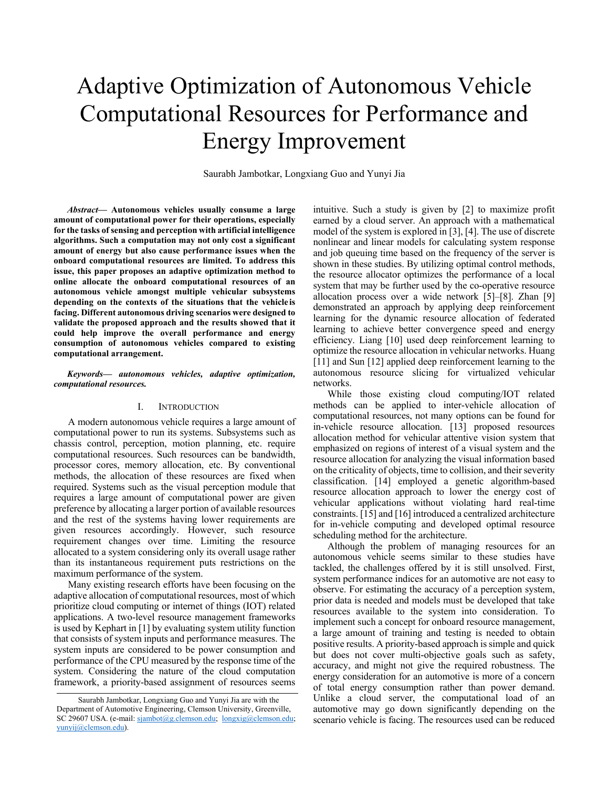# Adaptive Optimization of Autonomous Vehicle Computational Resources for Performance and Energy Improvement

Saurabh Jambotkar, Longxiang Guo and Yunyi Jia

*Abstract***— Autonomous vehicles usually consume a large amount of computational power for their operations, especially for the tasks of sensing and perception with artificial intelligence algorithms. Such a computation may not only cost a significant amount of energy but also cause performance issues when the onboard computational resources are limited. To address this issue, this paper proposes an adaptive optimization method to online allocate the onboard computational resources of an autonomous vehicle amongst multiple vehicular subsystems**  depending on the contexts of the situations that the vehicle is **facing. Different autonomous driving scenarios were designed to validate the proposed approach and the results showed that it could help improve the overall performance and energy consumption of autonomous vehicles compared to existing computational arrangement.** 

#### *Keywords— autonomous vehicles, adaptive optimization, computational resources.*

#### I. INTRODUCTION

A modern autonomous vehicle requires a large amount of computational power to run its systems. Subsystems such as chassis control, perception, motion planning, etc. require computational resources. Such resources can be bandwidth, processor cores, memory allocation, etc. By conventional methods, the allocation of these resources are fixed when required. Systems such as the visual perception module that requires a large amount of computational power are given preference by allocating a larger portion of available resources and the rest of the systems having lower requirements are given resources accordingly. However, such resource requirement changes over time. Limiting the resource allocated to a system considering only its overall usage rather than its instantaneous requirement puts restrictions on the maximum performance of the system.

Many existing research efforts have been focusing on the adaptive allocation of computational resources, most of which prioritize cloud computing or internet of things (IOT) related applications. A two-level resource management frameworks is used by Kephart in [1] by evaluating system utility function that consists of system inputs and performance measures. The system inputs are considered to be power consumption and performance of the CPU measured by the response time of the system. Considering the nature of the cloud computation framework, a priority-based assignment of resources seems

intuitive. Such a study is given by [2] to maximize profit earned by a cloud server. An approach with a mathematical model of the system is explored in [3], [4]. The use of discrete nonlinear and linear models for calculating system response and job queuing time based on the frequency of the server is shown in these studies. By utilizing optimal control methods, the resource allocator optimizes the performance of a local system that may be further used by the co-operative resource allocation process over a wide network [5]–[8]. Zhan [9] demonstrated an approach by applying deep reinforcement learning for the dynamic resource allocation of federated learning to achieve better convergence speed and energy efficiency. Liang [10] used deep reinforcement learning to optimize the resource allocation in vehicular networks. Huang [11] and Sun [12] applied deep reinforcement learning to the autonomous resource slicing for virtualized vehicular networks.

While those existing cloud computing/IOT related methods can be applied to inter-vehicle allocation of computational resources, not many options can be found for in-vehicle resource allocation. [13] proposed resources allocation method for vehicular attentive vision system that emphasized on regions of interest of a visual system and the resource allocation for analyzing the visual information based on the criticality of objects, time to collision, and their severity classification. [14] employed a genetic algorithm-based resource allocation approach to lower the energy cost of vehicular applications without violating hard real-time constraints. [15] and [16] introduced a centralized architecture for in-vehicle computing and developed optimal resource scheduling method for the architecture.

Although the problem of managing resources for an autonomous vehicle seems similar to these studies have tackled, the challenges offered by it is still unsolved. First, system performance indices for an automotive are not easy to observe. For estimating the accuracy of a perception system, prior data is needed and models must be developed that take resources available to the system into consideration. To implement such a concept for onboard resource management, a large amount of training and testing is needed to obtain positive results. A priority-based approach is simple and quick but does not cover multi-objective goals such as safety, accuracy, and might not give the required robustness. The energy consideration for an automotive is more of a concern of total energy consumption rather than power demand. Unlike a cloud server, the computational load of an automotive may go down significantly depending on the scenario vehicle is facing. The resources used can be reduced

Saurabh Jambotkar, Longxiang Guo and Yunyi Jia are with the Department of Automotive Engineering, Clemson University, Greenville, SC 29607 USA. (e-mail: sjambot@g.clemson.edu; longxig@clemson.edu; yunyij@clemson.edu).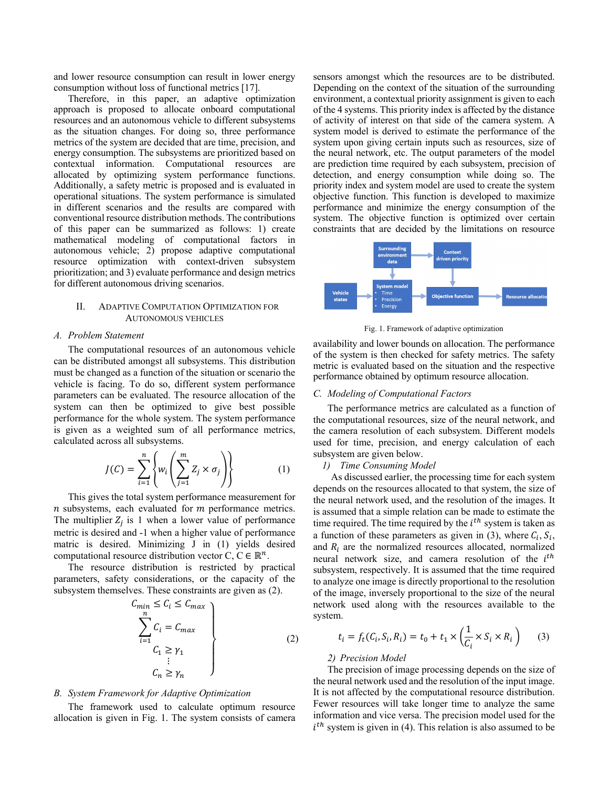and lower resource consumption can result in lower energy consumption without loss of functional metrics [17].

Therefore, in this paper, an adaptive optimization approach is proposed to allocate onboard computational resources and an autonomous vehicle to different subsystems as the situation changes. For doing so, three performance metrics of the system are decided that are time, precision, and energy consumption. The subsystems are prioritized based on contextual information. Computational resources are allocated by optimizing system performance functions. Additionally, a safety metric is proposed and is evaluated in operational situations. The system performance is simulated in different scenarios and the results are compared with conventional resource distribution methods. The contributions of this paper can be summarized as follows: 1) create mathematical modeling of computational factors in autonomous vehicle; 2) propose adaptive computational resource optimization with context-driven subsystem prioritization; and 3) evaluate performance and design metrics for different autonomous driving scenarios.

# II. ADAPTIVE COMPUTATION OPTIMIZATION FOR AUTONOMOUS VEHICLES

#### *A. Problem Statement*

The computational resources of an autonomous vehicle can be distributed amongst all subsystems. This distribution must be changed as a function of the situation or scenario the vehicle is facing. To do so, different system performance parameters can be evaluated. The resource allocation of the system can then be optimized to give best possible performance for the whole system. The system performance is given as a weighted sum of all performance metrics, calculated across all subsystems.

$$
J(C) = \sum_{i=1}^{n} \left\{ w_i \left( \sum_{j=1}^{m} Z_j \times \sigma_j \right) \right\}
$$
 (1)

This gives the total system performance measurement for  $n$  subsystems, each evaluated for  $m$  performance metrics. The multiplier  $Z_i$  is 1 when a lower value of performance metric is desired and -1 when a higher value of performance matric is desired. Minimizing J in (1) yields desired computational resource distribution vector C,  $C \in \mathbb{R}^n$ .

The resource distribution is restricted by practical parameters, safety considerations, or the capacity of the subsystem themselves. These constraints are given as (2).

$$
C_{min} \le C_i \le C_{max}
$$
\n
$$
\sum_{i=1}^{n} C_i = C_{max}
$$
\n
$$
C_1 \ge \gamma_1
$$
\n
$$
\vdots
$$
\n
$$
C_n \ge \gamma_n
$$
\n(2)

#### *B. System Framework for Adaptive Optimization*

The framework used to calculate optimum resource allocation is given in Fig. 1. The system consists of camera sensors amongst which the resources are to be distributed. Depending on the context of the situation of the surrounding environment, a contextual priority assignment is given to each of the 4 systems. This priority index is affected by the distance of activity of interest on that side of the camera system. A system model is derived to estimate the performance of the system upon giving certain inputs such as resources, size of the neural network, etc. The output parameters of the model are prediction time required by each subsystem, precision of detection, and energy consumption while doing so. The priority index and system model are used to create the system objective function. This function is developed to maximize performance and minimize the energy consumption of the system. The objective function is optimized over certain constraints that are decided by the limitations on resource



Fig. 1. Framework of adaptive optimization

availability and lower bounds on allocation. The performance of the system is then checked for safety metrics. The safety metric is evaluated based on the situation and the respective performance obtained by optimum resource allocation.

# *C. Modeling of Computational Factors*

The performance metrics are calculated as a function of the computational resources, size of the neural network, and the camera resolution of each subsystem. Different models used for time, precision, and energy calculation of each subsystem are given below.

## *1) Time Consuming Model*

As discussed earlier, the processing time for each system depends on the resources allocated to that system, the size of the neural network used, and the resolution of the images. It is assumed that a simple relation can be made to estimate the time required. The time required by the  $i<sup>th</sup>$  system is taken as a function of these parameters as given in (3), where  $C_i$ ,  $S_i$ , and  $R_i$  are the normalized resources allocated, normalized neural network size, and camera resolution of the *i*<sup>th</sup> subsystem, respectively. It is assumed that the time required to analyze one image is directly proportional to the resolution of the image, inversely proportional to the size of the neural network used along with the resources available to the system.

$$
t_i = f_t(C_i, S_i, R_i) = t_0 + t_1 \times \left(\frac{1}{C_i} \times S_i \times R_i\right) \tag{3}
$$

#### *2) Precision Model*

The precision of image processing depends on the size of the neural network used and the resolution of the input image. It is not affected by the computational resource distribution. Fewer resources will take longer time to analyze the same information and vice versa. The precision model used for the  $i<sup>th</sup>$  system is given in (4). This relation is also assumed to be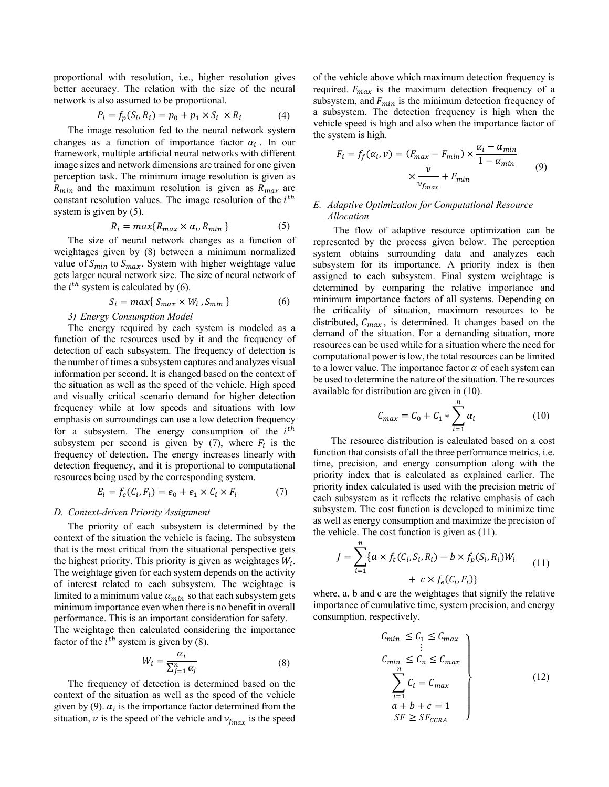proportional with resolution, i.e., higher resolution gives better accuracy. The relation with the size of the neural network is also assumed to be proportional.

$$
P_i = f_p(S_i, R_i) = p_0 + p_1 \times S_i \times R_i \tag{4}
$$

The image resolution fed to the neural network system changes as a function of importance factor  $\alpha_i$ . In our framework, multiple artificial neural networks with different image sizes and network dimensions are trained for one given perception task. The minimum image resolution is given as  $R_{min}$  and the maximum resolution is given as  $R_{max}$  are constant resolution values. The image resolution of the  $i<sup>th</sup>$ system is given by (5).

$$
R_i = \max\{R_{\max} \times \alpha_i, R_{\min}\}\tag{5}
$$

The size of neural network changes as a function of weightages given by (8) between a minimum normalized value of  $S_{min}$  to  $S_{max}$ . System with higher weightage value gets larger neural network size. The size of neural network of the  $i^{th}$  system is calculated by (6).

$$
S_i = \max\{S_{\max} \times W_i, S_{\min}\}\tag{6}
$$

# *3) Energy Consumption Model*

The energy required by each system is modeled as a function of the resources used by it and the frequency of detection of each subsystem. The frequency of detection is the number of times a subsystem captures and analyzes visual information per second. It is changed based on the context of the situation as well as the speed of the vehicle. High speed and visually critical scenario demand for higher detection frequency while at low speeds and situations with low emphasis on surroundings can use a low detection frequency for a subsystem. The energy consumption of the  $i<sup>th</sup>$ subsystem per second is given by (7), where  $F_i$  is the frequency of detection. The energy increases linearly with detection frequency, and it is proportional to computational resources being used by the corresponding system.

$$
E_i = f_e(C_i, F_i) = e_0 + e_1 \times C_i \times F_i \tag{7}
$$

#### *D. Context-driven Priority Assignment*

The priority of each subsystem is determined by the context of the situation the vehicle is facing. The subsystem that is the most critical from the situational perspective gets the highest priority. This priority is given as weightages  $W_i$ . The weightage given for each system depends on the activity of interest related to each subsystem. The weightage is limited to a minimum value  $\alpha_{min}$  so that each subsystem gets minimum importance even when there is no benefit in overall performance. This is an important consideration for safety.

The weightage then calculated considering the importance factor of the  $i^{th}$  system is given by (8).

$$
W_i = \frac{\alpha_i}{\sum_{j=1}^n \alpha_j} \tag{8}
$$

The frequency of detection is determined based on the context of the situation as well as the speed of the vehicle given by (9).  $\alpha_i$  is the importance factor determined from the situation,  $v$  is the speed of the vehicle and  $v_{f_{max}}$  is the speed of the vehicle above which maximum detection frequency is required.  $F_{max}$  is the maximum detection frequency of a subsystem, and  $F_{min}$  is the minimum detection frequency of a subsystem. The detection frequency is high when the vehicle speed is high and also when the importance factor of the system is high.

$$
F_i = f_f(\alpha_i, \nu) = (F_{max} - F_{min}) \times \frac{\alpha_i - \alpha_{min}}{1 - \alpha_{min}} \qquad (9)
$$

$$
\times \frac{\nu}{\nu_{f_{max}}} + F_{min}
$$

# *E. Adaptive Optimization for Computational Resource Allocation*

 The flow of adaptive resource optimization can be represented by the process given below. The perception system obtains surrounding data and analyzes each subsystem for its importance. A priority index is then assigned to each subsystem. Final system weightage is determined by comparing the relative importance and minimum importance factors of all systems. Depending on the criticality of situation, maximum resources to be distributed,  $C_{max}$ , is determined. It changes based on the demand of the situation. For a demanding situation, more resources can be used while for a situation where the need for computational power is low, the total resources can be limited to a lower value. The importance factor  $\alpha$  of each system can be used to determine the nature of the situation. The resources available for distribution are given in (10).

$$
C_{max} = C_0 + C_1 * \sum_{i=1}^{n} \alpha_i
$$
 (10)

The resource distribution is calculated based on a cost function that consists of all the three performance metrics, i.e. time, precision, and energy consumption along with the priority index that is calculated as explained earlier. The priority index calculated is used with the precision metric of each subsystem as it reflects the relative emphasis of each subsystem. The cost function is developed to minimize time as well as energy consumption and maximize the precision of the vehicle. The cost function is given as (11).

$$
J = \sum_{i=1}^{n} \{a \times f_t(C_i, S_i, R_i) - b \times f_p(S_i, R_i)W_i
$$
  
+  $c \times f_e(C_i, F_i)\}$  (11)

where, a, b and c are the weightages that signify the relative importance of cumulative time, system precision, and energy consumption, respectively.

$$
C_{min} \leq C_1 \leq C_{max}
$$
  
\n
$$
\vdots
$$
  
\n
$$
C_{min} \leq C_n \leq C_{max}
$$
  
\n
$$
\sum_{i=1}^{n} C_i = C_{max}
$$
  
\n
$$
\alpha + b + c = 1
$$
  
\n
$$
SF \geq SF_{CCRA}
$$
\n(12)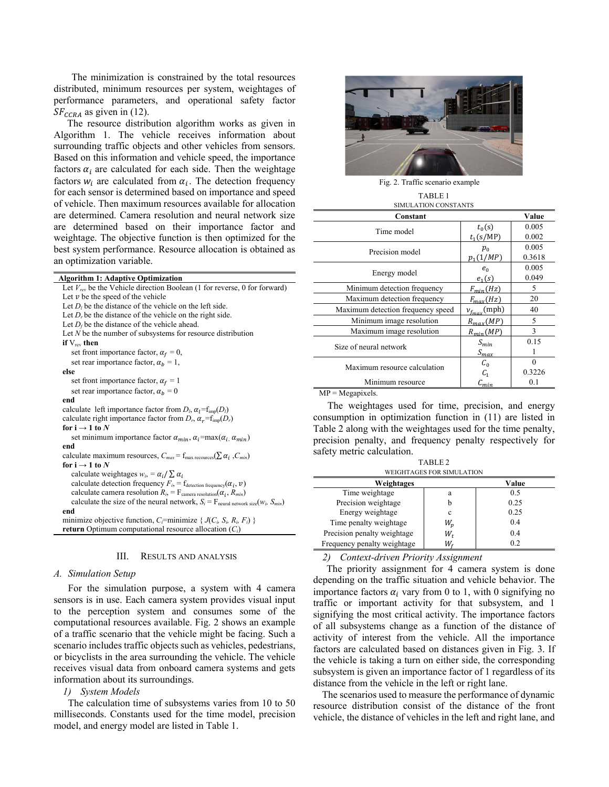The minimization is constrained by the total resources distributed, minimum resources per system, weightages of performance parameters, and operational safety factor  $SF_{CCRA}$  as given in (12).

The resource distribution algorithm works as given in Algorithm 1. The vehicle receives information about surrounding traffic objects and other vehicles from sensors. Based on this information and vehicle speed, the importance factors  $\alpha_i$  are calculated for each side. Then the weightage factors  $w_i$  are calculated from  $\alpha_i$ . The detection frequency for each sensor is determined based on importance and speed of vehicle. Then maximum resources available for allocation are determined. Camera resolution and neural network size are determined based on their importance factor and weightage. The objective function is then optimized for the best system performance. Resource allocation is obtained as an optimization variable.

| <b>Algorithm 1: Adaptive Optimization</b>                                                             |
|-------------------------------------------------------------------------------------------------------|
| Let $V_{rev}$ be the Vehicle direction Boolean (1 for reverse, 0 for forward)                         |
| Let $\nu$ be the speed of the vehicle                                                                 |
| Let $D_l$ be the distance of the vehicle on the left side.                                            |
| Let $Dr$ be the distance of the vehicle on the right side.                                            |
| Let $D_f$ be the distance of the vehicle ahead.                                                       |
| Let $N$ be the number of subsystems for resource distribution                                         |
| if $V_{rev}$ then                                                                                     |
| set front importance factor, $\alpha_f = 0$ ,                                                         |
| set rear importance factor, $\alpha_b = 1$ ,                                                          |
| else                                                                                                  |
| set front importance factor, $\alpha_f = 1$                                                           |
| set rear importance factor, $\alpha_h = 0$                                                            |
| end                                                                                                   |
| calculate left importance factor from $D_l$ , $\alpha_l = f_{\text{imp}}(D_l)$                        |
| calculate right importance factor from $D_r$ , $\alpha_r = f_{\text{imp}}(D_r)$                       |
| for $i \rightarrow 1$ to N                                                                            |
| set minimum importance factor $\alpha_{min}$ , $\alpha_i = \max(\alpha_i, \alpha_{min})$              |
| end                                                                                                   |
| calculate maximum resources, $C_{max} = f_{max}$ recources( $\sum \alpha_i$ , $C_{min}$ )             |
| for $i \rightarrow 1$ to N                                                                            |
| calculate weightages $w_i = \alpha_i / \sum_i \alpha_i$                                               |
| calculate detection frequency $F_i = f_{\text{detection frequency}}(\alpha_i, v)$                     |
| calculate camera resolution $R_i = F_{\text{camera resolution}}(\alpha_i, R_{\text{min}})$            |
| calculate the size of the neural network, $S_i = F_{\text{neural network size}}(w_i, S_{\text{min}})$ |
| end                                                                                                   |
| minimize objective function, $C_i$ =minimize { $J(C_i, S_i, R_i, F_i)$ }                              |
| <b>return</b> Optimum computational resource allocation $(C_i)$                                       |

# III. RESULTS AND ANALYSIS

### *A. Simulation Setup*

For the simulation purpose, a system with 4 camera sensors is in use. Each camera system provides visual input to the perception system and consumes some of the computational resources available. Fig. 2 shows an example of a traffic scenario that the vehicle might be facing. Such a scenario includes traffic objects such as vehicles, pedestrians, or bicyclists in the area surrounding the vehicle. The vehicle receives visual data from onboard camera systems and gets information about its surroundings.

#### *1) System Models*

The calculation time of subsystems varies from 10 to 50 milliseconds. Constants used for the time model, precision model, and energy model are listed in Table 1.



Fig. 2. Traffic scenario example TABLE 1

# SIMULATION CONSTANTS

| Constant                          |                     | Value  |
|-----------------------------------|---------------------|--------|
| Time model                        | $t_0(s)$            | 0.005  |
|                                   | $t_1(s/MP)$         | 0.002  |
| Precision model                   | $p_{0}$             | 0.005  |
|                                   | $p_1(1/MP)$         | 0.3618 |
| Energy model                      | $e_{0}$             | 0.005  |
|                                   | $e_1(s)$            | 0.049  |
| Minimum detection frequency       | $F_{min}(Hz)$       | 5      |
| Maximum detection frequency       | $F_{max}(Hz)$       | 20     |
| Maximum detection frequency speed | $v_{f_{max}}$ (mph) | 40     |
| Minimum image resolution          | $R_{max}(MP)$       | 5      |
| Maximum image resolution          | $R_{min}(MP)$       | 3      |
| Size of neural network            | $S_{min}$           | 0.15   |
|                                   | $S_{\text{max}}$    |        |
| Maximum resource calculation      | $C_0$               | 0      |
|                                   | $C_{1}$             | 0.3226 |
| Minimum resource                  | $\mathcal{C}_{min}$ | 0.1    |
|                                   |                     |        |

 $MP = Megapixels.$ 

The weightages used for time, precision, and energy consumption in optimization function in (11) are listed in Table 2 along with the weightages used for the time penalty, precision penalty, and frequency penalty respectively for safety metric calculation.

TABLE 2

| WEIGHTAGES FOR SIMULATION   |       |       |  |  |  |  |  |  |  |  |
|-----------------------------|-------|-------|--|--|--|--|--|--|--|--|
| Weightages                  |       | Value |  |  |  |  |  |  |  |  |
| Time weightage              | a     | 0.5   |  |  |  |  |  |  |  |  |
| Precision weightage         | b     | 0.25  |  |  |  |  |  |  |  |  |
| Energy weightage            | c     | 0.25  |  |  |  |  |  |  |  |  |
| Time penalty weightage      | $W_n$ | 0.4   |  |  |  |  |  |  |  |  |
| Precision penalty weightage | W,    | 0.4   |  |  |  |  |  |  |  |  |
| Frequency penalty weightage | W,    | 0.2   |  |  |  |  |  |  |  |  |

# *2) Context-driven Priority Assignment*

The priority assignment for 4 camera system is done depending on the traffic situation and vehicle behavior. The importance factors  $\alpha_i$  vary from 0 to 1, with 0 signifying no traffic or important activity for that subsystem, and 1 signifying the most critical activity. The importance factors of all subsystems change as a function of the distance of activity of interest from the vehicle. All the importance factors are calculated based on distances given in Fig. 3. If the vehicle is taking a turn on either side, the corresponding subsystem is given an importance factor of 1 regardless of its distance from the vehicle in the left or right lane.

The scenarios used to measure the performance of dynamic resource distribution consist of the distance of the front vehicle, the distance of vehicles in the left and right lane, and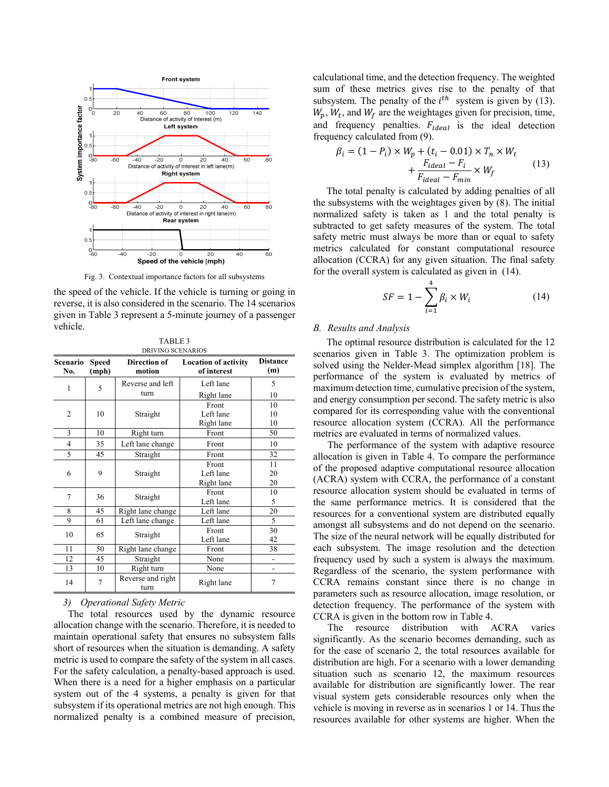

Fig. 3. Contextual importance factors for all subsystems

the speed of the vehicle. If the vehicle is turning or going in reverse, it is also considered in the scenario. The 14 scenarios given in Table 3 represent a 5-minute journey of a passenger vehicle.

TABLE 3

| DRIVING SCENARIOS |                       |                               |                                            |                        |  |  |  |  |  |  |
|-------------------|-----------------------|-------------------------------|--------------------------------------------|------------------------|--|--|--|--|--|--|
| Scenario<br>No.   | <b>Speed</b><br>(mph) | <b>Direction of</b><br>motion | <b>Location of activity</b><br>of interest | <b>Distance</b><br>(m) |  |  |  |  |  |  |
| 1                 | 5                     | Reverse and left              | Left lane                                  | 5                      |  |  |  |  |  |  |
|                   |                       | turn                          | Right lane                                 | 10                     |  |  |  |  |  |  |
|                   |                       |                               | Front                                      | 10                     |  |  |  |  |  |  |
| $\overline{2}$    | 10                    | Straight                      | Left lane                                  | 10                     |  |  |  |  |  |  |
|                   |                       |                               | Right lane                                 | 10                     |  |  |  |  |  |  |
| 3                 | 10                    | Right turn                    | Front                                      | 50                     |  |  |  |  |  |  |
| 4                 | 35                    | Left lane change              | Front                                      | 10                     |  |  |  |  |  |  |
| 5                 | 45                    | Straight                      | Front                                      | 32                     |  |  |  |  |  |  |
|                   |                       |                               | Front                                      | 11                     |  |  |  |  |  |  |
| 6                 | 9                     | Straight                      | Left lane                                  | 20                     |  |  |  |  |  |  |
|                   |                       |                               | Right lane                                 | 20                     |  |  |  |  |  |  |
| 7                 | 36                    |                               | Front                                      | 10                     |  |  |  |  |  |  |
|                   |                       | Straight                      | Left lane                                  | 5                      |  |  |  |  |  |  |
| 8                 | 45                    | Right lane change             | Left lane                                  | 20                     |  |  |  |  |  |  |
| 9                 | 61                    | Left lane change              | Left lane                                  | 5                      |  |  |  |  |  |  |
|                   | 65                    |                               | Front                                      | 30                     |  |  |  |  |  |  |
| 10                |                       | Straight                      | Left lane                                  | 42                     |  |  |  |  |  |  |
| 11                | 50                    | Right lane change             | Front                                      | 38                     |  |  |  |  |  |  |
| 12                | 45                    | Straight                      | None                                       | -                      |  |  |  |  |  |  |
| 13                | 10                    | Right turn                    | None                                       |                        |  |  |  |  |  |  |
| 14                | 7                     | Reverse and right<br>turn     | Right lane                                 | 7                      |  |  |  |  |  |  |

*3) Operational Safety Metric* 

The total resources used by the dynamic resource allocation change with the scenario. Therefore, it is needed to maintain operational safety that ensures no subsystem falls short of resources when the situation is demanding. A safety metric is used to compare the safety of the system in all cases. For the safety calculation, a penalty-based approach is used. When there is a need for a higher emphasis on a particular system out of the 4 systems, a penalty is given for that subsystem if its operational metrics are not high enough. This normalized penalty is a combined measure of precision, calculational time, and the detection frequency. The weighted sum of these metrics gives rise to the penalty of that subsystem. The penalty of the  $i^{th}$  system is given by (13).  $W_p$ ,  $W_t$ , and  $W_f$  are the weightages given for precision, time, and frequency penalties.  $F_{ideal}$  is the ideal detection frequency calculated from (9).

$$
\beta_i = (1 - P_i) \times W_p + (t_i - 0.01) \times T_n \times W_t
$$
  
+ 
$$
\frac{F_{ideal} - F_i}{F_{ideal} - F_{min}} \times W_f
$$
 (13)

The total penalty is calculated by adding penalties of all the subsystems with the weightages given by (8). The initial normalized safety is taken as 1 and the total penalty is subtracted to get safety measures of the system. The total safety metric must always be more than or equal to safety metrics calculated for constant computational resource allocation (CCRA) for any given situation. The final safety for the overall system is calculated as given in (14).

$$
SF = 1 - \sum_{i=1}^{4} \beta_i \times W_i \tag{14}
$$

# *B. Results and Analysis*

The optimal resource distribution is calculated for the 12 scenarios given in Table 3. The optimization problem is solved using the Nelder-Mead simplex algorithm [18]. The performance of the system is evaluated by metrics of maximum detection time, cumulative precision of the system, and energy consumption per second. The safety metric is also compared for its corresponding value with the conventional resource allocation system (CCRA). All the performance metrics are evaluated in terms of normalized values.

The performance of the system with adaptive resource allocation is given in Table 4. To compare the performance of the proposed adaptive computational resource allocation (ACRA) system with CCRA, the performance of a constant resource allocation system should be evaluated in terms of the same performance metrics. It is considered that the resources for a conventional system are distributed equally amongst all subsystems and do not depend on the scenario. The size of the neural network will be equally distributed for each subsystem. The image resolution and the detection frequency used by such a system is always the maximum. Regardless of the scenario, the system performance with CCRA remains constant since there is no change in parameters such as resource allocation, image resolution, or detection frequency. The performance of the system with CCRA is given in the bottom row in Table 4.

The resource distribution with ACRA varies significantly. As the scenario becomes demanding, such as for the case of scenario 2, the total resources available for distribution are high. For a scenario with a lower demanding situation such as scenario 12, the maximum resources available for distribution are significantly lower. The rear visual system gets considerable resources only when the vehicle is moving in reverse as in scenarios 1 or 14. Thus the resources available for other systems are higher. When the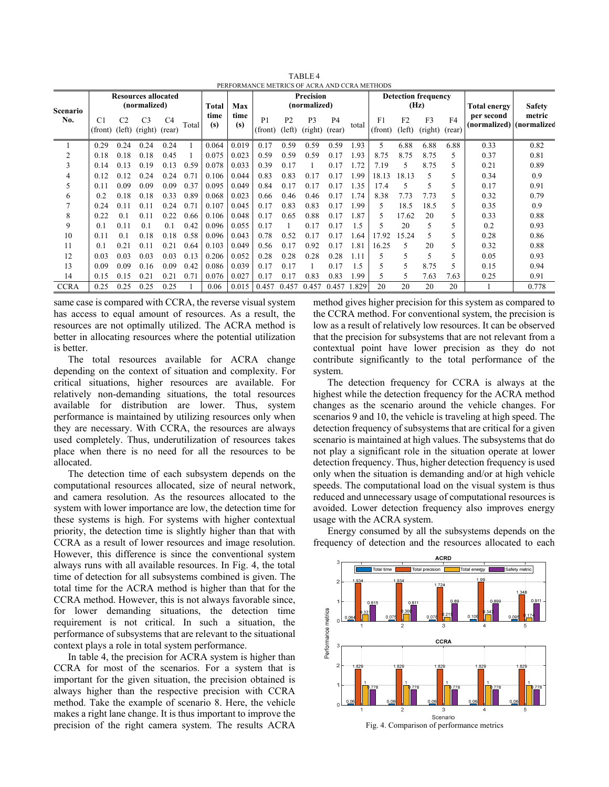| PERFORMANCE METRICS OF ACRA AND CCRA METHODS |                                            |                |                                          |                          |       |             |                                  |                           |                          |                           |                                    |       |                           |                          |                     |                          |                                        |        |
|----------------------------------------------|--------------------------------------------|----------------|------------------------------------------|--------------------------|-------|-------------|----------------------------------|---------------------------|--------------------------|---------------------------|------------------------------------|-------|---------------------------|--------------------------|---------------------|--------------------------|----------------------------------------|--------|
| <b>Scenario</b><br>No.                       | <b>Resources allocated</b><br>(normalized) |                |                                          |                          | Total | Max         | <b>Precision</b><br>(normalized) |                           |                          |                           | <b>Detection frequency</b><br>(Hz) |       |                           |                          | <b>Total energy</b> | <b>Safety</b>            |                                        |        |
|                                              | C <sub>1</sub>                             | C <sub>2</sub> | C <sub>3</sub><br>(front) (left) (right) | C <sub>4</sub><br>(rear) | Total | time<br>(s) | time<br>(s)                      | P <sub>1</sub><br>(front) | P <sub>2</sub><br>(left) | P <sub>3</sub><br>(right) | P <sub>4</sub><br>(rear)           | total | F <sub>1</sub><br>(front) | F <sub>2</sub><br>(left) | F3<br>(right)       | F <sub>4</sub><br>(rear) | per second<br>(normalized) (normalized | metric |
|                                              | 0.29                                       | 0.24           | 0.24                                     | 0.24                     |       | 0.064       | 0.019                            | 0.17                      | 0.59                     | 0.59                      | 0.59                               | L.93  | 5                         | 6.88                     | 6.88                | 6.88                     | 0.33                                   | 0.82   |
| 2                                            | 0.18                                       | 0.18           | 0.18                                     | 0.45                     |       | 0.075       | 0.023                            | 0.59                      | 0.59                     | 0.59                      | 0.17                               | 1.93  | 8.75                      | 8.75                     | 8.75                | 5                        | 0.37                                   | 0.81   |
| 3                                            | 0.14                                       | 0.13           | 0.19                                     | 0.13                     | 0.59  | 0.078       | 0.033                            | 0.39                      | 0.17                     |                           | 0.17                               | 1.72  | 7.19                      | 5                        | 8.75                | 5                        | 0.21                                   | 0.89   |
| 4                                            | 0.12                                       | 0.12           | 0.24                                     | 0.24                     | 0.71  | 0.106       | 0.044                            | 0.83                      | 0.83                     | 0.17                      | 0.17                               | 1.99  | 18.13                     | 18.13                    | 5                   | 5                        | 0.34                                   | 0.9    |
| 5                                            | 0.11                                       | 0.09           | 0.09                                     | 0.09                     | 0.37  | 0.095       | 0.049                            | 0.84                      | 0.17                     | 0.17                      | 0.17                               | 1.35  | 17.4                      | 5                        | 5                   | 5                        | 0.17                                   | 0.91   |
| 6                                            | 0.2                                        | 0.18           | 0.18                                     | 0.33                     | 0.89  | 0.068       | 0.023                            | 0.66                      | 0.46                     | 0.46                      | 0.17                               | 1.74  | 8.38                      | 7.73                     | 7.73                | 5                        | 0.32                                   | 0.79   |
|                                              | 0.24                                       | 0.11           | 0.11                                     | 0.24                     | 0.71  | 0.107       | 0.045                            | 0.17                      | 0.83                     | 0.83                      | 0.17                               | 1.99  | 5                         | 18.5                     | 18.5                | 5                        | 0.35                                   | 0.9    |
| 8                                            | 0.22                                       | 0.1            | 0.11                                     | 0.22                     | 0.66  | 0.106       | 0.048                            | 0.17                      | 0.65                     | 0.88                      | 0.17                               | 1.87  |                           | 17.62                    | 20                  | 5                        | 0.33                                   | 0.88   |
| 9                                            | 0.1                                        | 0.11           | 0.1                                      | 0.1                      | 0.42  | 0.096       | 0.055                            | 0.17                      |                          | 0.17                      | 0.17                               | 1.5   |                           | 20                       | 5                   | 5                        | 0.2                                    | 0.93   |
| 10                                           | 0.11                                       | 0.1            | 0.18                                     | 0.18                     | 0.58  | 0.096       | 0.043                            | 0.78                      | 0.52                     | 0.17                      | 0.17                               | .64   | 17.92                     | 15.24                    | 5                   | 5                        | 0.28                                   | 0.86   |
| 11                                           | 0.1                                        | 0.21           | 0.11                                     | 0.21                     | 0.64  | 0.103       | 0.049                            | 0.56                      | 0.17                     | 0.92                      | 0.17                               | 1.81  | 16.25                     | 5                        | 20                  | 5                        | 0.32                                   | 0.88   |
| 12                                           | 0.03                                       | 0.03           | 0.03                                     | 0.03                     | 0.13  | 0.206       | 0.052                            | 0.28                      | 0.28                     | 0.28                      | 0.28                               | 1.11  |                           | 5                        | 5                   | 5                        | 0.05                                   | 0.93   |
| 13                                           | 0.09                                       | 0.09           | 0.16                                     | 0.09                     | 0.42  | 0.086       | 0.039                            | 0.17                      | 0.17                     |                           | 0.17                               | 1.5   |                           | 5                        | 8.75                | 5                        | 0.15                                   | 0.94   |
| 14                                           | 0.15                                       | 0.15           | 0.21                                     | 0.21                     | 0.71  | 0.076       | 0.027                            | 0.17                      | 0.17                     | 0.83                      | 0.83                               | 1.99  |                           | 5                        | 7.63                | 7.63                     | 0.25                                   | 0.91   |
| <b>CCRA</b>                                  | 0.25                                       | 0.25           | 0.25                                     | 0.25                     |       | 0.06        | 0.015                            | 0.457                     | 0.457                    | 0.457                     | 0.457                              | 1.829 | 20                        | 20                       | 20                  | 20                       |                                        | 0.778  |

TABLE 4

same case is compared with CCRA, the reverse visual system has access to equal amount of resources. As a result, the resources are not optimally utilized. The ACRA method is better in allocating resources where the potential utilization is better.

The total resources available for ACRA change depending on the context of situation and complexity. For critical situations, higher resources are available. For relatively non-demanding situations, the total resources available for distribution are lower. Thus, system performance is maintained by utilizing resources only when they are necessary. With CCRA, the resources are always used completely. Thus, underutilization of resources takes place when there is no need for all the resources to be allocated.

The detection time of each subsystem depends on the computational resources allocated, size of neural network, and camera resolution. As the resources allocated to the system with lower importance are low, the detection time for these systems is high. For systems with higher contextual priority, the detection time is slightly higher than that with CCRA as a result of lower resources and image resolution. However, this difference is since the conventional system always runs with all available resources. In Fig. 4, the total time of detection for all subsystems combined is given. The total time for the ACRA method is higher than that for the CCRA method. However, this is not always favorable since, for lower demanding situations, the detection time requirement is not critical. In such a situation, the performance of subsystems that are relevant to the situational context plays a role in total system performance.

In table 4, the precision for ACRA system is higher than CCRA for most of the scenarios. For a system that is important for the given situation, the precision obtained is always higher than the respective precision with CCRA method. Take the example of scenario 8. Here, the vehicle makes a right lane change. It is thus important to improve the precision of the right camera system. The results ACRA method gives higher precision for this system as compared to the CCRA method. For conventional system, the precision is low as a result of relatively low resources. It can be observed that the precision for subsystems that are not relevant from a contextual point have lower precision as they do not contribute significantly to the total performance of the system.

The detection frequency for CCRA is always at the highest while the detection frequency for the ACRA method changes as the scenario around the vehicle changes. For scenarios 9 and 10, the vehicle is traveling at high speed. The detection frequency of subsystems that are critical for a given scenario is maintained at high values. The subsystems that do not play a significant role in the situation operate at lower detection frequency. Thus, higher detection frequency is used only when the situation is demanding and/or at high vehicle speeds. The computational load on the visual system is thus reduced and unnecessary usage of computational resources is avoided. Lower detection frequency also improves energy usage with the ACRA system.

Energy consumed by all the subsystems depends on the frequency of detection and the resources allocated to each